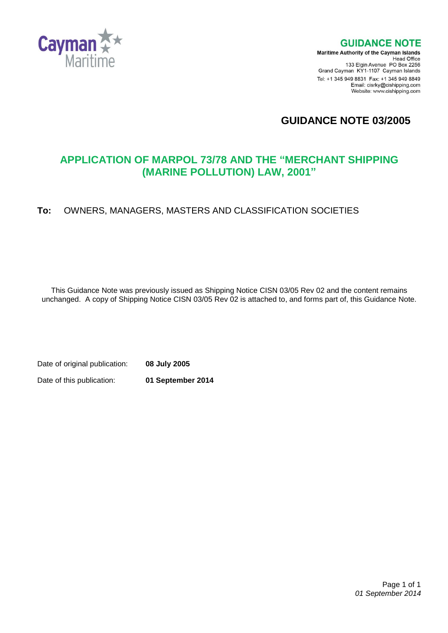

**GUIDANCE NOTE** 

**Maritime Authority of the Cayman Islands** Head Office<br>Head Office<br>133 Elgin Avenue PO Box 2256 Grand Cayman KY1-1107 Cayman Islands Tel: +1 345 949 8831 Fax: +1 345 949 8849 Email: cisrky@cishipping.com Website: www.cishipping.com

**GUIDANCE NOTE 03/2005**

# **APPLICATION OF MARPOL 73/78 AND THE "MERCHANT SHIPPING (MARINE POLLUTION) LAW, 2001"**

# **To:** OWNERS, MANAGERS, MASTERS AND CLASSIFICATION SOCIETIES

This Guidance Note was previously issued as Shipping Notice CISN 03/05 Rev 02 and the content remains unchanged. A copy of Shipping Notice CISN 03/05 Rev 02 is attached to, and forms part of, this Guidance Note.

Date of original publication: **08 July 2005** Date of this publication: **01 September 2014**

> Page 1 of 1 *01 September 2014*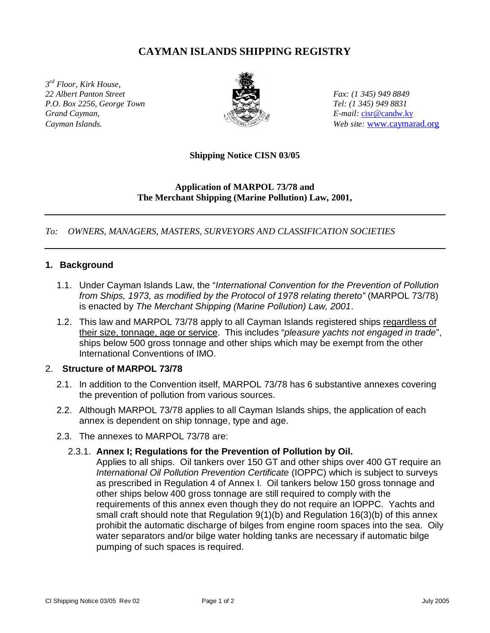# **CAYMAN ISLANDS SHIPPING REGISTRY**

*3 rd Floor, Kirk House, 22 Albert Panton Street Fax: (1 345) 949 8849 P.O. Box 2256, George Town Tel: (1 345) 949 8831 Grand Cayman, E-mail:* cisr@candw.ky



*Cayman Islands. Web site:* www.caymarad.org

#### **Shipping Notice CISN 03/05**

### **Application of MARPOL 73/78 and The Merchant Shipping (Marine Pollution) Law, 2001,**

### *To: OWNERS, MANAGERS, MASTERS, SURVEYORS AND CLASSIFICATION SOCIETIES*

#### **1. Background**

- 1.1. Under Cayman Islands Law, the "*International Convention for the Prevention of Pollution from Ships, 1973, as modified by the Protocol of 1978 relating thereto"* (MARPOL 73/78) is enacted by *The Merchant Shipping (Marine Pollution) Law, 2001*.
- 1.2. This law and MARPOL 73/78 apply to all Cayman Islands registered ships regardless of their size, tonnage, age or service. This includes "*pleasure yachts not engaged in trade*", ships below 500 gross tonnage and other ships which may be exempt from the other International Conventions of IMO.

### 2. **Structure of MARPOL 73/78**

- 2.1. In addition to the Convention itself, MARPOL 73/78 has 6 substantive annexes covering the prevention of pollution from various sources.
- 2.2. Although MARPOL 73/78 applies to all Cayman Islands ships, the application of each annex is dependent on ship tonnage, type and age.
- 2.3. The annexes to MARPOL 73/78 are:

### 2.3.1. **Annex I; Regulations for the Prevention of Pollution by Oil.**

Applies to all ships. Oil tankers over 150 GT and other ships over 400 GT require an *International Oil Pollution Prevention Certificate* (IOPPC) which is subject to surveys as prescribed in Regulation 4 of Annex I. Oil tankers below 150 gross tonnage and other ships below 400 gross tonnage are still required to comply with the requirements of this annex even though they do not require an IOPPC. Yachts and small craft should note that Regulation 9(1)(b) and Regulation 16(3)(b) of this annex prohibit the automatic discharge of bilges from engine room spaces into the sea. Oily water separators and/or bilge water holding tanks are necessary if automatic bilge pumping of such spaces is required.